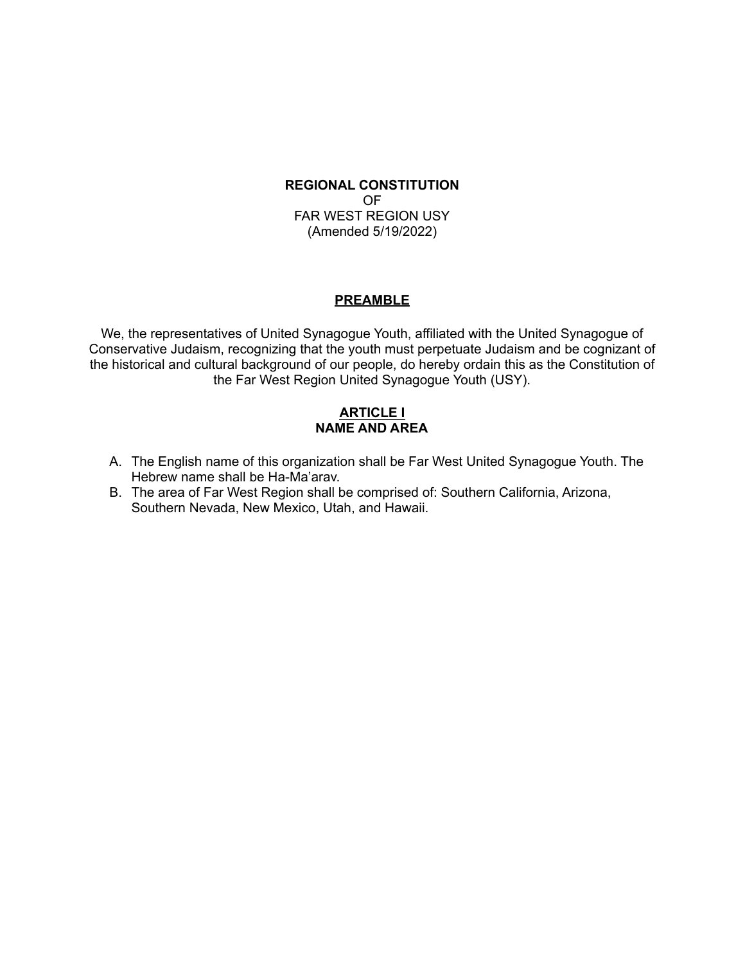## **REGIONAL CONSTITUTION** OF FAR WEST REGION USY (Amended 5/19/2022)

#### **PREAMBLE**

We, the representatives of United Synagogue Youth, affiliated with the United Synagogue of Conservative Judaism, recognizing that the youth must perpetuate Judaism and be cognizant of the historical and cultural background of our people, do hereby ordain this as the Constitution of the Far West Region United Synagogue Youth (USY).

### **ARTICLE I NAME AND AREA**

- A. The English name of this organization shall be Far West United Synagogue Youth. The Hebrew name shall be Ha-Ma'arav.
- B. The area of Far West Region shall be comprised of: Southern California, Arizona, Southern Nevada, New Mexico, Utah, and Hawaii.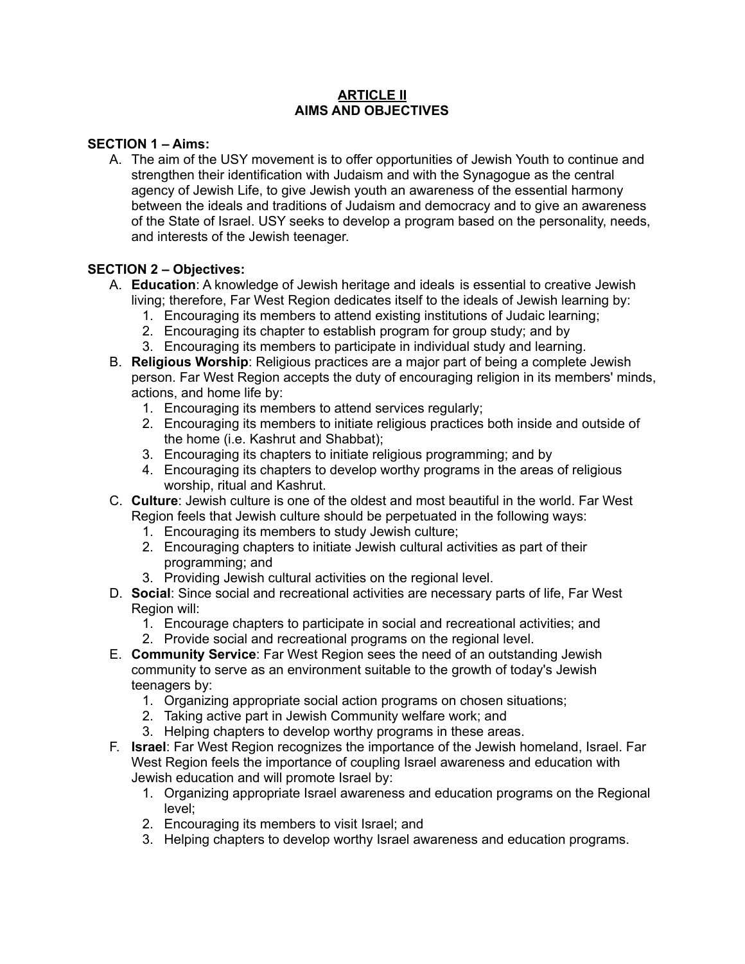### **ARTICLE II AIMS AND OBJECTIVES**

## **SECTION 1 – Aims:**

A. The aim of the USY movement is to offer opportunities of Jewish Youth to continue and strengthen their identification with Judaism and with the Synagogue as the central agency of Jewish Life, to give Jewish youth an awareness of the essential harmony between the ideals and traditions of Judaism and democracy and to give an awareness of the State of Israel. USY seeks to develop a program based on the personality, needs, and interests of the Jewish teenager.

## **SECTION 2 – Objectives:**

- A. **Education**: A knowledge of Jewish heritage and ideals is essential to creative Jewish living; therefore, Far West Region dedicates itself to the ideals of Jewish learning by:
	- 1. Encouraging its members to attend existing institutions of Judaic learning;
	- 2. Encouraging its chapter to establish program for group study; and by
	- 3. Encouraging its members to participate in individual study and learning.
- B. **Religious Worship**: Religious practices are a major part of being a complete Jewish person. Far West Region accepts the duty of encouraging religion in its members' minds, actions, and home life by:
	- 1. Encouraging its members to attend services regularly;
	- 2. Encouraging its members to initiate religious practices both inside and outside of the home (i.e. Kashrut and Shabbat);
	- 3. Encouraging its chapters to initiate religious programming; and by
	- 4. Encouraging its chapters to develop worthy programs in the areas of religious worship, ritual and Kashrut.
- C. **Culture**: Jewish culture is one of the oldest and most beautiful in the world. Far West Region feels that Jewish culture should be perpetuated in the following ways:
	- 1. Encouraging its members to study Jewish culture;
	- 2. Encouraging chapters to initiate Jewish cultural activities as part of their programming; and
	- 3. Providing Jewish cultural activities on the regional level.
- D. **Social**: Since social and recreational activities are necessary parts of life, Far West Region will:
	- 1. Encourage chapters to participate in social and recreational activities; and
	- 2. Provide social and recreational programs on the regional level.
- E. **Community Service**: Far West Region sees the need of an outstanding Jewish community to serve as an environment suitable to the growth of today's Jewish teenagers by:
	- 1. Organizing appropriate social action programs on chosen situations;
	- 2. Taking active part in Jewish Community welfare work; and
	- 3. Helping chapters to develop worthy programs in these areas.
- F. **Israel**: Far West Region recognizes the importance of the Jewish homeland, Israel. Far West Region feels the importance of coupling Israel awareness and education with Jewish education and will promote Israel by:
	- 1. Organizing appropriate Israel awareness and education programs on the Regional level;
	- 2. Encouraging its members to visit Israel; and
	- 3. Helping chapters to develop worthy Israel awareness and education programs.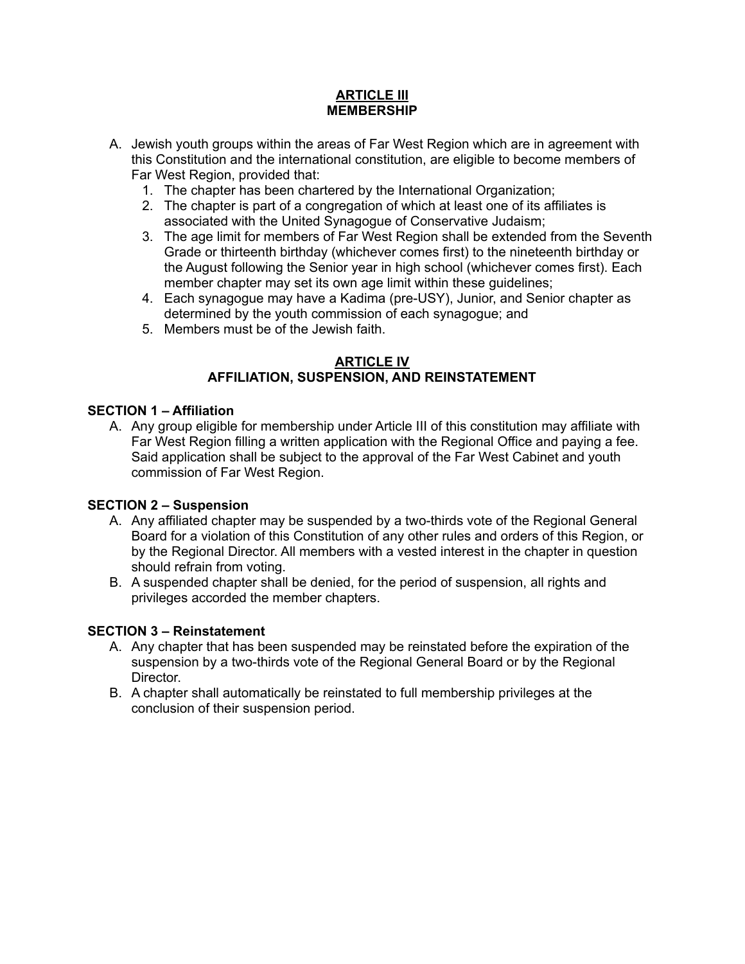### **ARTICLE III MEMBERSHIP**

- A. Jewish youth groups within the areas of Far West Region which are in agreement with this Constitution and the international constitution, are eligible to become members of Far West Region, provided that:
	- 1. The chapter has been chartered by the International Organization;
	- 2. The chapter is part of a congregation of which at least one of its affiliates is associated with the United Synagogue of Conservative Judaism;
	- 3. The age limit for members of Far West Region shall be extended from the Seventh Grade or thirteenth birthday (whichever comes first) to the nineteenth birthday or the August following the Senior year in high school (whichever comes first). Each member chapter may set its own age limit within these guidelines;
	- 4. Each synagogue may have a Kadima (pre-USY), Junior, and Senior chapter as determined by the youth commission of each synagogue; and
	- 5. Members must be of the Jewish faith.

### **ARTICLE IV AFFILIATION, SUSPENSION, AND REINSTATEMENT**

## **SECTION 1 – Affiliation**

A. Any group eligible for membership under Article III of this constitution may affiliate with Far West Region filling a written application with the Regional Office and paying a fee. Said application shall be subject to the approval of the Far West Cabinet and youth commission of Far West Region.

## **SECTION 2 – Suspension**

- A. Any affiliated chapter may be suspended by a two-thirds vote of the Regional General Board for a violation of this Constitution of any other rules and orders of this Region, or by the Regional Director. All members with a vested interest in the chapter in question should refrain from voting.
- B. A suspended chapter shall be denied, for the period of suspension, all rights and privileges accorded the member chapters.

# **SECTION 3 – Reinstatement**

- A. Any chapter that has been suspended may be reinstated before the expiration of the suspension by a two-thirds vote of the Regional General Board or by the Regional Director.
- B. A chapter shall automatically be reinstated to full membership privileges at the conclusion of their suspension period.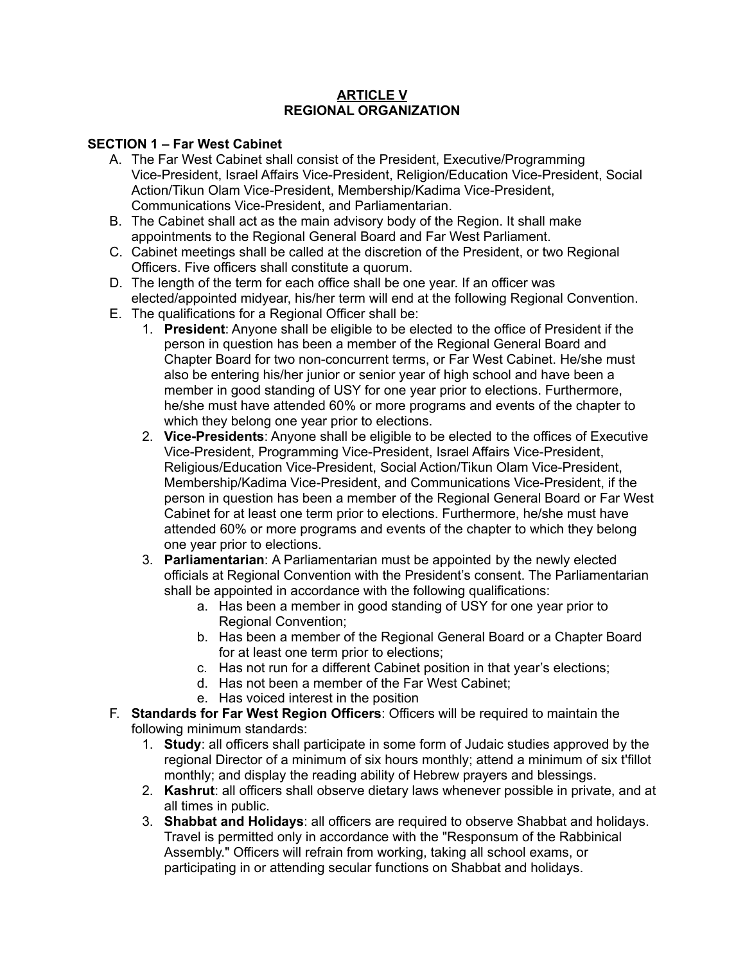### **ARTICLE V REGIONAL ORGANIZATION**

# **SECTION 1 – Far West Cabinet**

- A. The Far West Cabinet shall consist of the President, Executive/Programming Vice-President, Israel Affairs Vice-President, Religion/Education Vice-President, Social Action/Tikun Olam Vice-President, Membership/Kadima Vice-President, Communications Vice-President, and Parliamentarian.
- B. The Cabinet shall act as the main advisory body of the Region. It shall make appointments to the Regional General Board and Far West Parliament.
- C. Cabinet meetings shall be called at the discretion of the President, or two Regional Officers. Five officers shall constitute a quorum.
- D. The length of the term for each office shall be one year. If an officer was elected/appointed midyear, his/her term will end at the following Regional Convention.
- E. The qualifications for a Regional Officer shall be:
	- 1. **President**: Anyone shall be eligible to be elected to the office of President if the person in question has been a member of the Regional General Board and Chapter Board for two non-concurrent terms, or Far West Cabinet. He/she must also be entering his/her junior or senior year of high school and have been a member in good standing of USY for one year prior to elections. Furthermore, he/she must have attended 60% or more programs and events of the chapter to which they belong one year prior to elections.
	- 2. **Vice-Presidents**: Anyone shall be eligible to be elected to the offices of Executive Vice-President, Programming Vice-President, Israel Affairs Vice-President, Religious/Education Vice-President, Social Action/Tikun Olam Vice-President, Membership/Kadima Vice-President, and Communications Vice-President, if the person in question has been a member of the Regional General Board or Far West Cabinet for at least one term prior to elections. Furthermore, he/she must have attended 60% or more programs and events of the chapter to which they belong one year prior to elections.
	- 3. **Parliamentarian**: A Parliamentarian must be appointed by the newly elected officials at Regional Convention with the President's consent. The Parliamentarian shall be appointed in accordance with the following qualifications:
		- a. Has been a member in good standing of USY for one year prior to Regional Convention;
		- b. Has been a member of the Regional General Board or a Chapter Board for at least one term prior to elections;
		- c. Has not run for a different Cabinet position in that year's elections;
		- d. Has not been a member of the Far West Cabinet;
		- e. Has voiced interest in the position
- F. **Standards for Far West Region Officers**: Officers will be required to maintain the following minimum standards:
	- 1. **Study**: all officers shall participate in some form of Judaic studies approved by the regional Director of a minimum of six hours monthly; attend a minimum of six t'fillot monthly; and display the reading ability of Hebrew prayers and blessings.
	- 2. **Kashrut**: all officers shall observe dietary laws whenever possible in private, and at all times in public.
	- 3. **Shabbat and Holidays**: all officers are required to observe Shabbat and holidays. Travel is permitted only in accordance with the "Responsum of the Rabbinical Assembly." Officers will refrain from working, taking all school exams, or participating in or attending secular functions on Shabbat and holidays.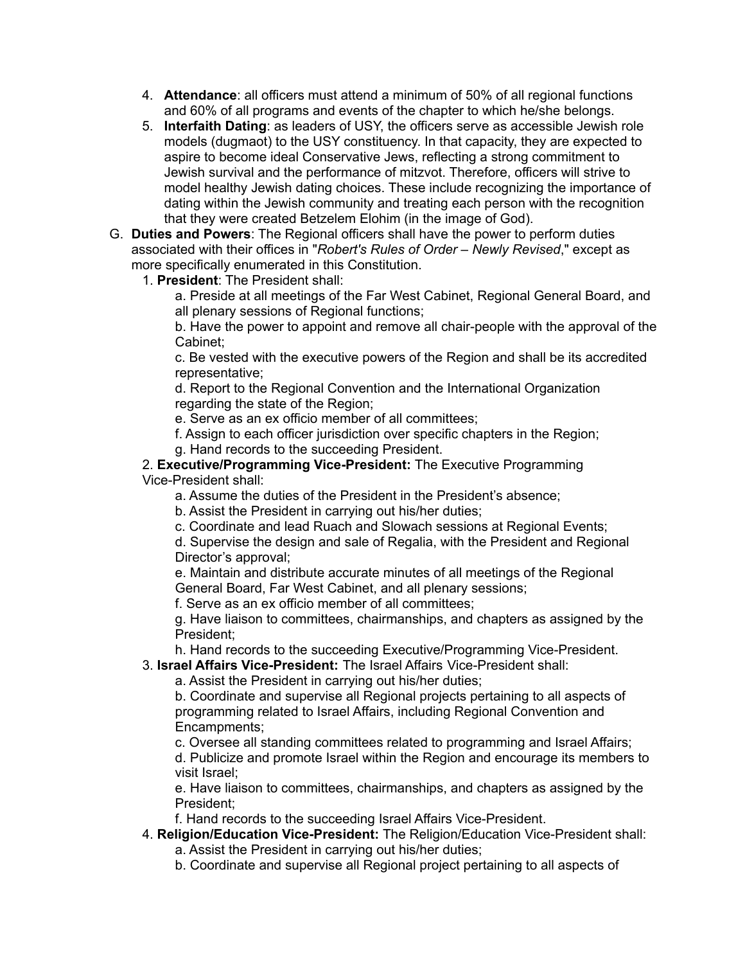- 4. **Attendance**: all officers must attend a minimum of 50% of all regional functions and 60% of all programs and events of the chapter to which he/she belongs.
- 5. **Interfaith Dating**: as leaders of USY, the officers serve as accessible Jewish role models (dugmaot) to the USY constituency. In that capacity, they are expected to aspire to become ideal Conservative Jews, reflecting a strong commitment to Jewish survival and the performance of mitzvot. Therefore, officers will strive to model healthy Jewish dating choices. These include recognizing the importance of dating within the Jewish community and treating each person with the recognition that they were created Betzelem Elohim (in the image of God).
- G. **Duties and Powers**: The Regional officers shall have the power to perform duties associated with their offices in "*Robert's Rules of Order – Newly Revised*," except as more specifically enumerated in this Constitution.
	- 1. **President**: The President shall:

a. Preside at all meetings of the Far West Cabinet, Regional General Board, and all plenary sessions of Regional functions;

b. Have the power to appoint and remove all chair-people with the approval of the Cabinet;

c. Be vested with the executive powers of the Region and shall be its accredited representative;

d. Report to the Regional Convention and the International Organization regarding the state of the Region;

e. Serve as an ex officio member of all committees;

f. Assign to each officer jurisdiction over specific chapters in the Region;

g. Hand records to the succeeding President.

2. **Executive/Programming Vice-President:** The Executive Programming Vice-President shall:

a. Assume the duties of the President in the President's absence;

b. Assist the President in carrying out his/her duties;

c. Coordinate and lead Ruach and Slowach sessions at Regional Events;

d. Supervise the design and sale of Regalia, with the President and Regional Director's approval;

e. Maintain and distribute accurate minutes of all meetings of the Regional General Board, Far West Cabinet, and all plenary sessions;

f. Serve as an ex officio member of all committees;

g. Have liaison to committees, chairmanships, and chapters as assigned by the President;

h. Hand records to the succeeding Executive/Programming Vice-President.

3. **Israel Affairs Vice-President:** The Israel Affairs Vice-President shall:

a. Assist the President in carrying out his/her duties;

b. Coordinate and supervise all Regional projects pertaining to all aspects of programming related to Israel Affairs, including Regional Convention and Encampments;

c. Oversee all standing committees related to programming and Israel Affairs;

d. Publicize and promote Israel within the Region and encourage its members to visit Israel;

e. Have liaison to committees, chairmanships, and chapters as assigned by the President;

f. Hand records to the succeeding Israel Affairs Vice-President.

- 4. **Religion/Education Vice-President:** The Religion/Education Vice-President shall: a. Assist the President in carrying out his/her duties;
	- b. Coordinate and supervise all Regional project pertaining to all aspects of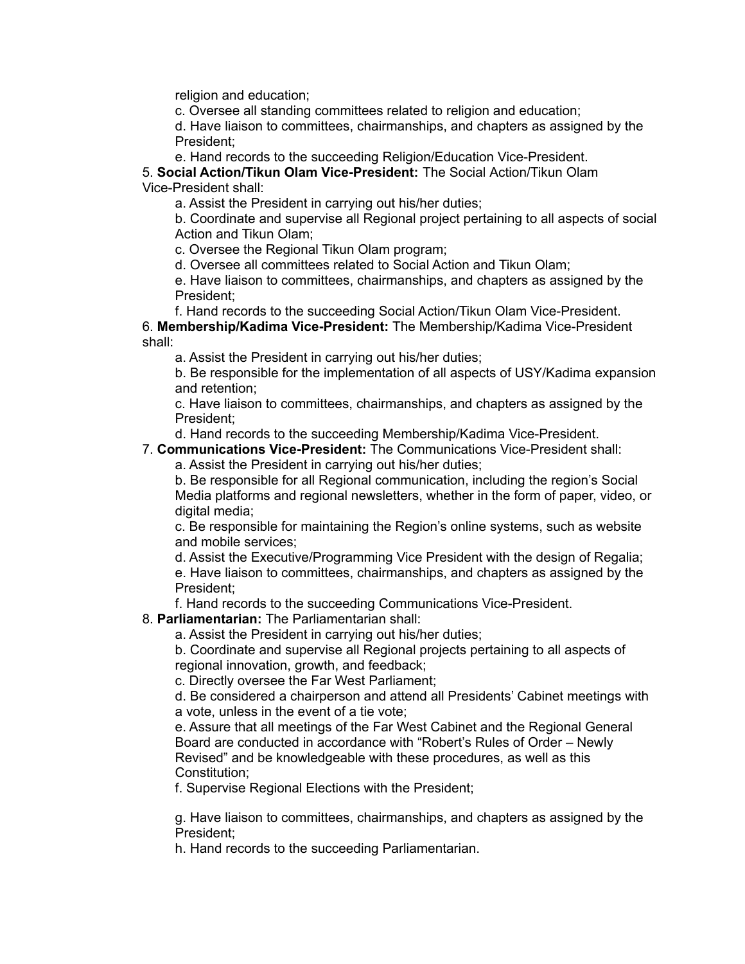religion and education;

c. Oversee all standing committees related to religion and education;

d. Have liaison to committees, chairmanships, and chapters as assigned by the President;

e. Hand records to the succeeding Religion/Education Vice-President.

5. **Social Action/Tikun Olam Vice-President:** The Social Action/Tikun Olam Vice-President shall:

a. Assist the President in carrying out his/her duties;

b. Coordinate and supervise all Regional project pertaining to all aspects of social Action and Tikun Olam;

c. Oversee the Regional Tikun Olam program;

d. Oversee all committees related to Social Action and Tikun Olam;

e. Have liaison to committees, chairmanships, and chapters as assigned by the President;

f. Hand records to the succeeding Social Action/Tikun Olam Vice-President.

6. **Membership/Kadima Vice-President:** The Membership/Kadima Vice-President shall:

a. Assist the President in carrying out his/her duties;

b. Be responsible for the implementation of all aspects of USY/Kadima expansion and retention;

c. Have liaison to committees, chairmanships, and chapters as assigned by the President;

d. Hand records to the succeeding Membership/Kadima Vice-President.

# 7. **Communications Vice-President:** The Communications Vice-President shall:

a. Assist the President in carrying out his/her duties;

b. Be responsible for all Regional communication, including the region's Social Media platforms and regional newsletters, whether in the form of paper, video, or digital media;

c. Be responsible for maintaining the Region's online systems, such as website and mobile services;

d. Assist the Executive/Programming Vice President with the design of Regalia;

e. Have liaison to committees, chairmanships, and chapters as assigned by the President;

f. Hand records to the succeeding Communications Vice-President.

## 8. **Parliamentarian:** The Parliamentarian shall:

a. Assist the President in carrying out his/her duties;

b. Coordinate and supervise all Regional projects pertaining to all aspects of regional innovation, growth, and feedback;

c. Directly oversee the Far West Parliament;

d. Be considered a chairperson and attend all Presidents' Cabinet meetings with a vote, unless in the event of a tie vote;

e. Assure that all meetings of the Far West Cabinet and the Regional General Board are conducted in accordance with "Robert's Rules of Order – Newly Revised" and be knowledgeable with these procedures, as well as this Constitution;

f. Supervise Regional Elections with the President;

g. Have liaison to committees, chairmanships, and chapters as assigned by the President;

h. Hand records to the succeeding Parliamentarian.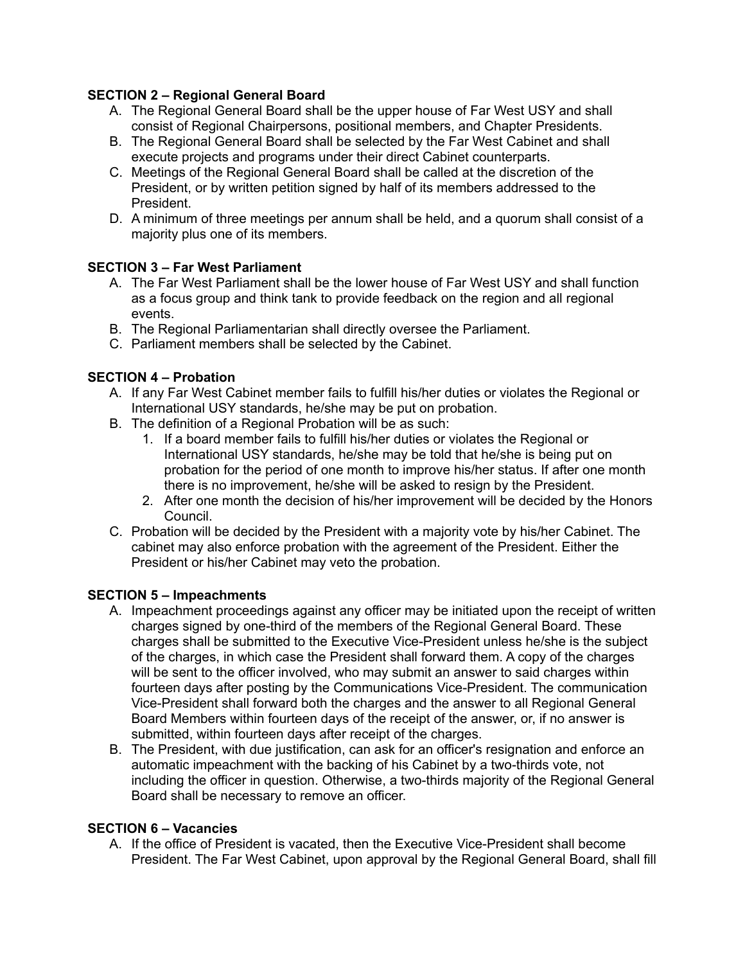# **SECTION 2 – Regional General Board**

- A. The Regional General Board shall be the upper house of Far West USY and shall consist of Regional Chairpersons, positional members, and Chapter Presidents.
- B. The Regional General Board shall be selected by the Far West Cabinet and shall execute projects and programs under their direct Cabinet counterparts.
- C. Meetings of the Regional General Board shall be called at the discretion of the President, or by written petition signed by half of its members addressed to the President.
- D. A minimum of three meetings per annum shall be held, and a quorum shall consist of a majority plus one of its members.

# **SECTION 3 – Far West Parliament**

- A. The Far West Parliament shall be the lower house of Far West USY and shall function as a focus group and think tank to provide feedback on the region and all regional events.
- B. The Regional Parliamentarian shall directly oversee the Parliament.
- C. Parliament members shall be selected by the Cabinet.

# **SECTION 4 – Probation**

- A. If any Far West Cabinet member fails to fulfill his/her duties or violates the Regional or International USY standards, he/she may be put on probation.
- B. The definition of a Regional Probation will be as such:
	- 1. If a board member fails to fulfill his/her duties or violates the Regional or International USY standards, he/she may be told that he/she is being put on probation for the period of one month to improve his/her status. If after one month there is no improvement, he/she will be asked to resign by the President.
	- 2. After one month the decision of his/her improvement will be decided by the Honors Council.
- C. Probation will be decided by the President with a majority vote by his/her Cabinet. The cabinet may also enforce probation with the agreement of the President. Either the President or his/her Cabinet may veto the probation.

## **SECTION 5 – Impeachments**

- A. Impeachment proceedings against any officer may be initiated upon the receipt of written charges signed by one-third of the members of the Regional General Board. These charges shall be submitted to the Executive Vice-President unless he/she is the subject of the charges, in which case the President shall forward them. A copy of the charges will be sent to the officer involved, who may submit an answer to said charges within fourteen days after posting by the Communications Vice-President. The communication Vice-President shall forward both the charges and the answer to all Regional General Board Members within fourteen days of the receipt of the answer, or, if no answer is submitted, within fourteen days after receipt of the charges.
- B. The President, with due justification, can ask for an officer's resignation and enforce an automatic impeachment with the backing of his Cabinet by a two-thirds vote, not including the officer in question. Otherwise, a two-thirds majority of the Regional General Board shall be necessary to remove an officer.

## **SECTION 6 – Vacancies**

A. If the office of President is vacated, then the Executive Vice-President shall become President. The Far West Cabinet, upon approval by the Regional General Board, shall fill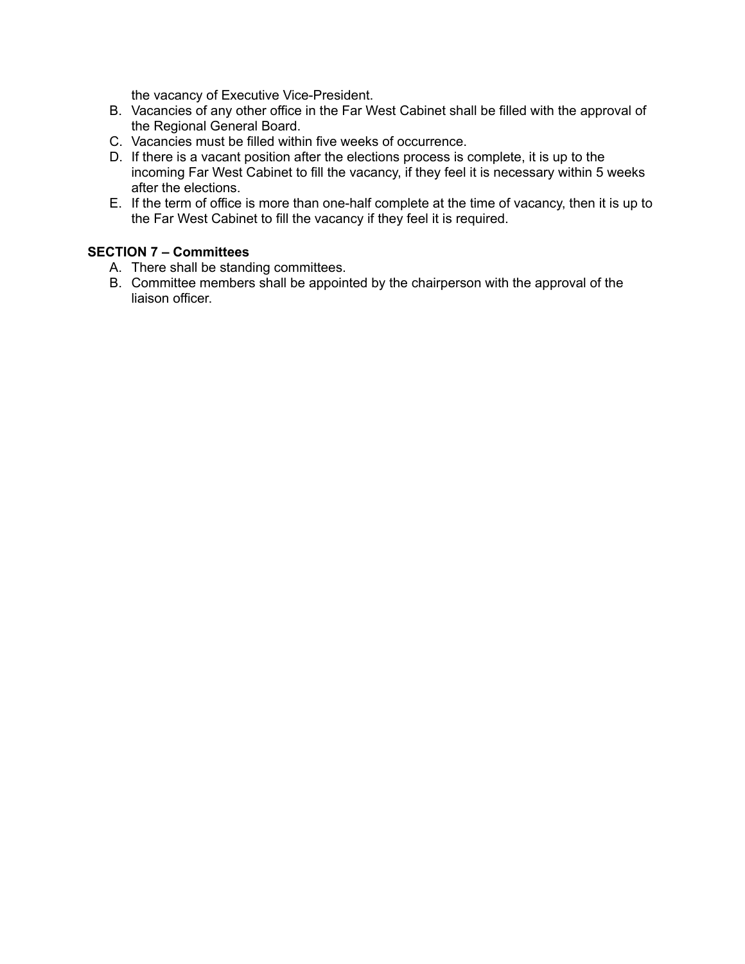the vacancy of Executive Vice-President.

- B. Vacancies of any other office in the Far West Cabinet shall be filled with the approval of the Regional General Board.
- C. Vacancies must be filled within five weeks of occurrence.
- D. If there is a vacant position after the elections process is complete, it is up to the incoming Far West Cabinet to fill the vacancy, if they feel it is necessary within 5 weeks after the elections.
- E. If the term of office is more than one-half complete at the time of vacancy, then it is up to the Far West Cabinet to fill the vacancy if they feel it is required.

# **SECTION 7 – Committees**

- A. There shall be standing committees.
- B. Committee members shall be appointed by the chairperson with the approval of the liaison officer.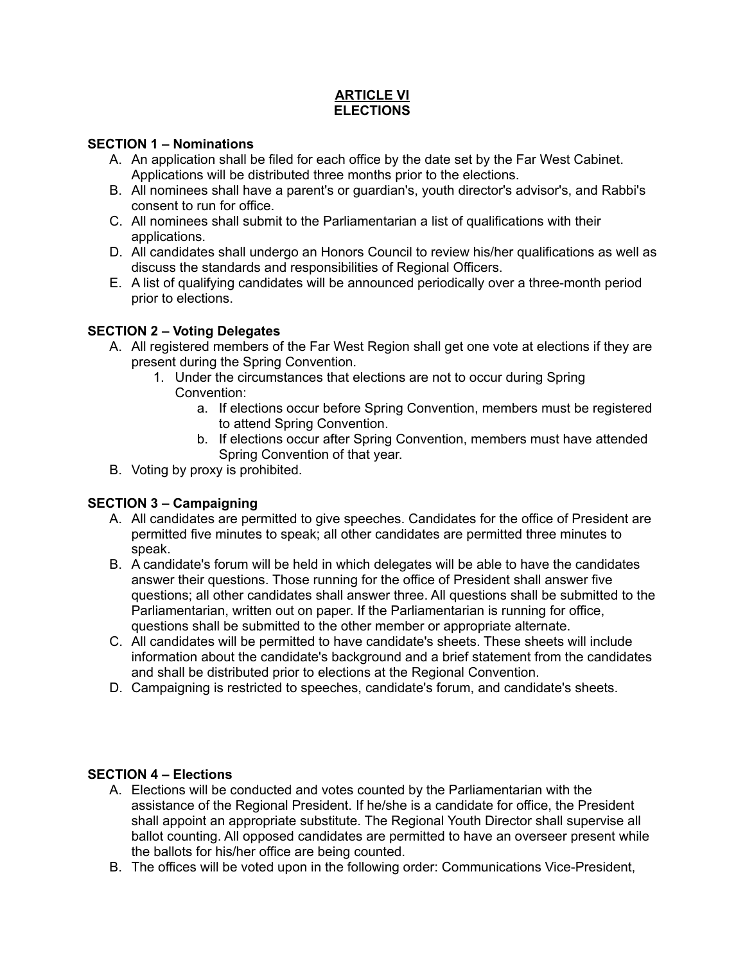# **ARTICLE VI ELECTIONS**

### **SECTION 1 – Nominations**

- A. An application shall be filed for each office by the date set by the Far West Cabinet. Applications will be distributed three months prior to the elections.
- B. All nominees shall have a parent's or guardian's, youth director's advisor's, and Rabbi's consent to run for office.
- C. All nominees shall submit to the Parliamentarian a list of qualifications with their applications.
- D. All candidates shall undergo an Honors Council to review his/her qualifications as well as discuss the standards and responsibilities of Regional Officers.
- E. A list of qualifying candidates will be announced periodically over a three-month period prior to elections.

# **SECTION 2 – Voting Delegates**

- A. All registered members of the Far West Region shall get one vote at elections if they are present during the Spring Convention.
	- 1. Under the circumstances that elections are not to occur during Spring Convention:
		- a. If elections occur before Spring Convention, members must be registered to attend Spring Convention.
		- b. If elections occur after Spring Convention, members must have attended Spring Convention of that year.
- B. Voting by proxy is prohibited.

# **SECTION 3 – Campaigning**

- A. All candidates are permitted to give speeches. Candidates for the office of President are permitted five minutes to speak; all other candidates are permitted three minutes to speak.
- B. A candidate's forum will be held in which delegates will be able to have the candidates answer their questions. Those running for the office of President shall answer five questions; all other candidates shall answer three. All questions shall be submitted to the Parliamentarian, written out on paper. If the Parliamentarian is running for office, questions shall be submitted to the other member or appropriate alternate.
- C. All candidates will be permitted to have candidate's sheets. These sheets will include information about the candidate's background and a brief statement from the candidates and shall be distributed prior to elections at the Regional Convention.
- D. Campaigning is restricted to speeches, candidate's forum, and candidate's sheets.

## **SECTION 4 – Elections**

- A. Elections will be conducted and votes counted by the Parliamentarian with the assistance of the Regional President. If he/she is a candidate for office, the President shall appoint an appropriate substitute. The Regional Youth Director shall supervise all ballot counting. All opposed candidates are permitted to have an overseer present while the ballots for his/her office are being counted.
- B. The offices will be voted upon in the following order: Communications Vice-President,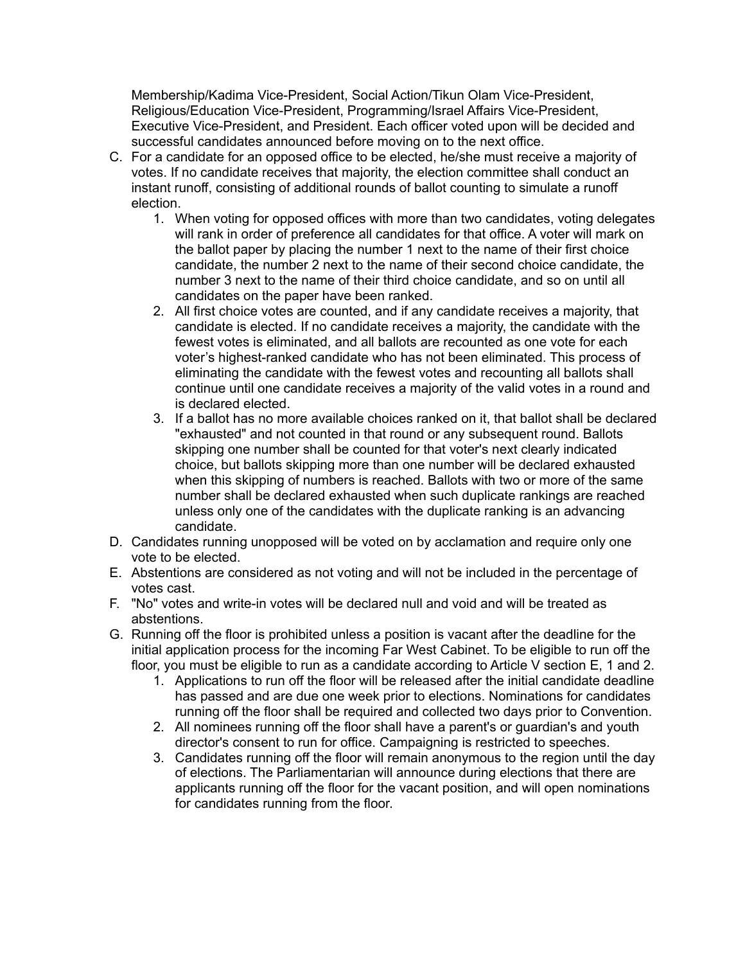Membership/Kadima Vice-President, Social Action/Tikun Olam Vice-President, Religious/Education Vice-President, Programming/Israel Affairs Vice-President, Executive Vice-President, and President. Each officer voted upon will be decided and successful candidates announced before moving on to the next office.

- C. For a candidate for an opposed office to be elected, he/she must receive a majority of votes. If no candidate receives that majority, the election committee shall conduct an instant runoff, consisting of additional rounds of ballot counting to simulate a runoff election.
	- 1. When voting for opposed offices with more than two candidates, voting delegates will rank in order of preference all candidates for that office. A voter will mark on the ballot paper by placing the number 1 next to the name of their first choice candidate, the number 2 next to the name of their second choice candidate, the number 3 next to the name of their third choice candidate, and so on until all candidates on the paper have been ranked.
	- 2. All first choice votes are counted, and if any candidate receives a majority, that candidate is elected. If no candidate receives a majority, the candidate with the fewest votes is eliminated, and all ballots are recounted as one vote for each voter's highest-ranked candidate who has not been eliminated. This process of eliminating the candidate with the fewest votes and recounting all ballots shall continue until one candidate receives a majority of the valid votes in a round and is declared elected.
	- 3. If a ballot has no more available choices ranked on it, that ballot shall be declared "exhausted" and not counted in that round or any subsequent round. Ballots skipping one number shall be counted for that voter's next clearly indicated choice, but ballots skipping more than one number will be declared exhausted when this skipping of numbers is reached. Ballots with two or more of the same number shall be declared exhausted when such duplicate rankings are reached unless only one of the candidates with the duplicate ranking is an advancing candidate.
- D. Candidates running unopposed will be voted on by acclamation and require only one vote to be elected.
- E. Abstentions are considered as not voting and will not be included in the percentage of votes cast.
- F. "No" votes and write-in votes will be declared null and void and will be treated as abstentions.
- G. Running off the floor is prohibited unless a position is vacant after the deadline for the initial application process for the incoming Far West Cabinet. To be eligible to run off the floor, you must be eligible to run as a candidate according to Article V section E, 1 and 2.
	- 1. Applications to run off the floor will be released after the initial candidate deadline has passed and are due one week prior to elections. Nominations for candidates running off the floor shall be required and collected two days prior to Convention.
	- 2. All nominees running off the floor shall have a parent's or guardian's and youth director's consent to run for office. Campaigning is restricted to speeches.
	- 3. Candidates running off the floor will remain anonymous to the region until the day of elections. The Parliamentarian will announce during elections that there are applicants running off the floor for the vacant position, and will open nominations for candidates running from the floor.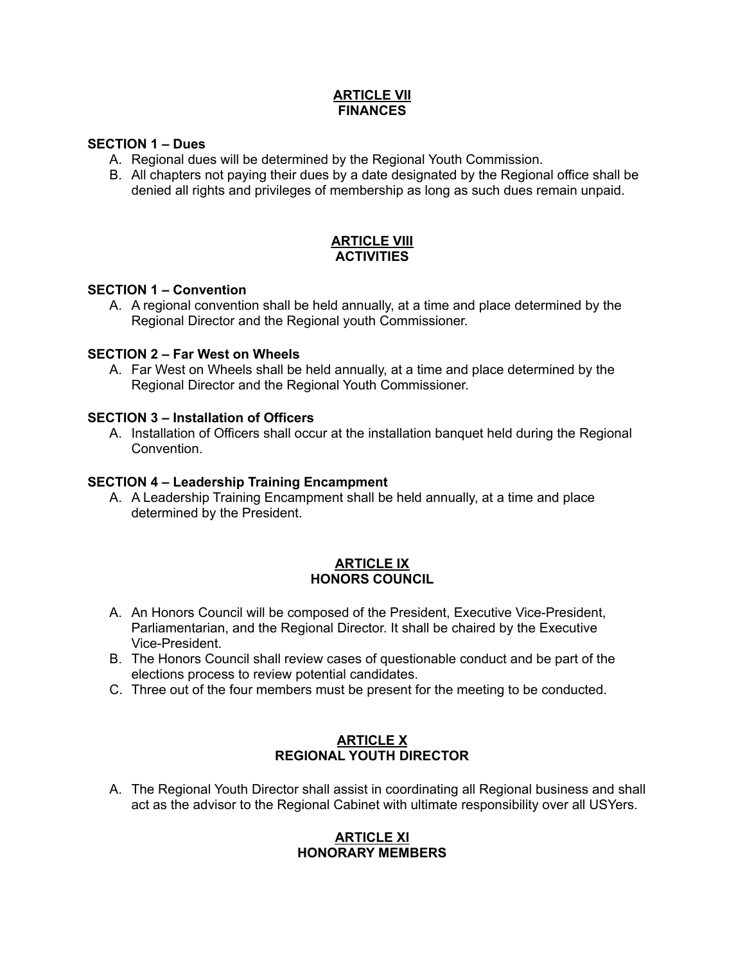### **ARTICLE VII FINANCES**

## **SECTION 1 – Dues**

- A. Regional dues will be determined by the Regional Youth Commission.
- B. All chapters not paying their dues by a date designated by the Regional office shall be denied all rights and privileges of membership as long as such dues remain unpaid.

#### **ARTICLE VIII ACTIVITIES**

### **SECTION 1 – Convention**

A. A regional convention shall be held annually, at a time and place determined by the Regional Director and the Regional youth Commissioner.

### **SECTION 2 – Far West on Wheels**

A. Far West on Wheels shall be held annually, at a time and place determined by the Regional Director and the Regional Youth Commissioner.

### **SECTION 3 – Installation of Officers**

A. Installation of Officers shall occur at the installation banquet held during the Regional Convention.

### **SECTION 4 – Leadership Training Encampment**

A. A Leadership Training Encampment shall be held annually, at a time and place determined by the President.

### **ARTICLE IX HONORS COUNCIL**

- A. An Honors Council will be composed of the President, Executive Vice-President, Parliamentarian, and the Regional Director. It shall be chaired by the Executive Vice-President.
- B. The Honors Council shall review cases of questionable conduct and be part of the elections process to review potential candidates.
- C. Three out of the four members must be present for the meeting to be conducted.

## **ARTICLE X REGIONAL YOUTH DIRECTOR**

A. The Regional Youth Director shall assist in coordinating all Regional business and shall act as the advisor to the Regional Cabinet with ultimate responsibility over all USYers.

### **ARTICLE XI HONORARY MEMBERS**